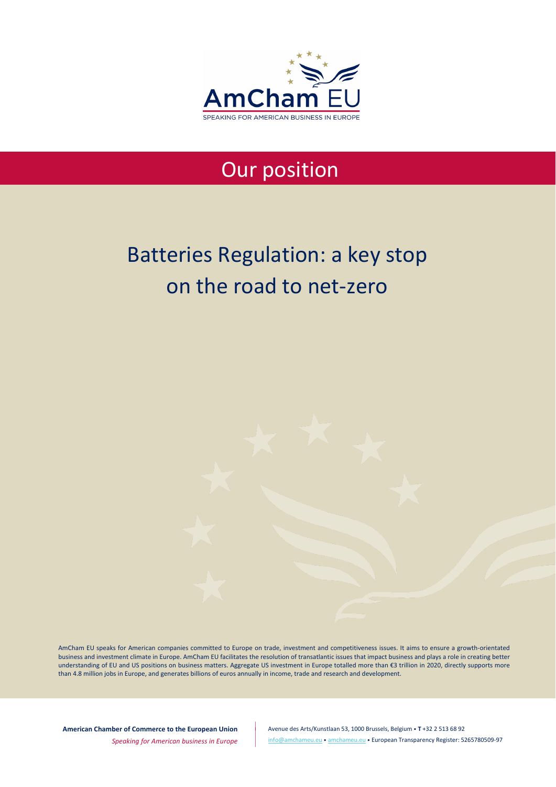

# Our position

# Batteries Regulation: a key stop on the road to net-zero

AmCham EU speaks for American companies committed to Europe on trade, investment and competitiveness issues. It aims to ensure a growth-orientated business and investment climate in Europe. AmCham EU facilitates the resolution of transatlantic issues that impact business and plays a role in creating better understanding of EU and US positions on business matters. Aggregate US investment in Europe totalled more than €3 trillion in 2020, directly supports more than 4.8 million jobs in Europe, and generates billions of euros annually in income, trade and research and development.

**American Chamber of Commerce to the European Union**

*Speaking for American business in Europe*

Avenue des Arts/Kunstlaan 53, 1000 Brussels, Belgium • **T** +32 2 513 68 92 [info@amchameu.eu](mailto:info@amchameu.eu) • [amchameu.eu](http://www.amchameu.eu/) • European Transparency Register: 5265780509-97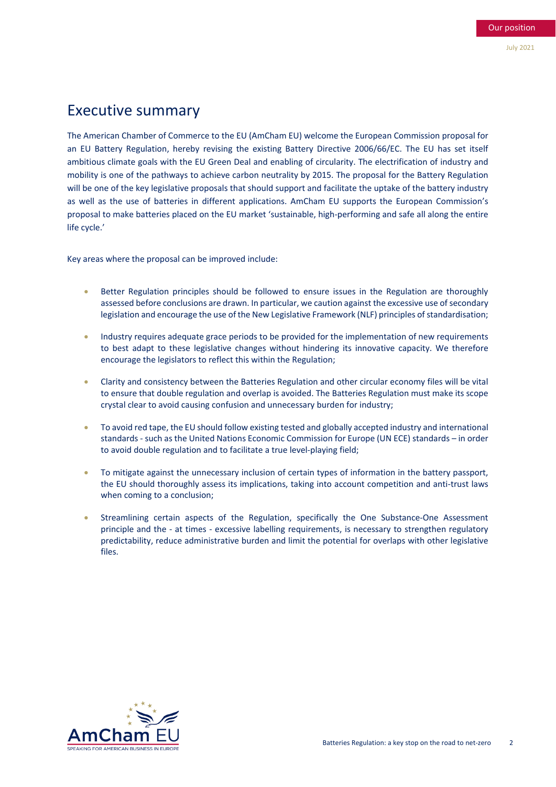# Executive summary

The American Chamber of Commerce to the EU (AmCham EU) welcome the European Commission proposal for an EU Battery Regulation, hereby revising the existing Battery Directive 2006/66/EC. The EU has set itself ambitious climate goals with the EU Green Deal and enabling of circularity. The electrification of industry and mobility is one of the pathways to achieve carbon neutrality by 2015. The proposal for the Battery Regulation will be one of the key legislative proposals that should support and facilitate the uptake of the battery industry as well as the use of batteries in different applications. AmCham EU supports the European Commission's proposal to make batteries placed on the EU market 'sustainable, high-performing and safe all along the entire life cycle.'

Key areas where the proposal can be improved include:

- Better Regulation principles should be followed to ensure issues in the Regulation are thoroughly assessed before conclusions are drawn. In particular, we caution against the excessive use of secondary legislation and encourage the use of the New Legislative Framework (NLF) principles of standardisation;
- Industry requires adequate grace periods to be provided for the implementation of new requirements to best adapt to these legislative changes without hindering its innovative capacity. We therefore encourage the legislators to reflect this within the Regulation;
- Clarity and consistency between the Batteries Regulation and other circular economy files will be vital to ensure that double regulation and overlap is avoided. The Batteries Regulation must make its scope crystal clear to avoid causing confusion and unnecessary burden for industry;
- To avoid red tape, the EU should follow existing tested and globally accepted industry and international standards - such as the United Nations Economic Commission for Europe (UN ECE) standards – in order to avoid double regulation and to facilitate a true level-playing field;
- To mitigate against the unnecessary inclusion of certain types of information in the battery passport, the EU should thoroughly assess its implications, taking into account competition and anti-trust laws when coming to a conclusion;
- Streamlining certain aspects of the Regulation, specifically the One Substance-One Assessment principle and the - at times - excessive labelling requirements, is necessary to strengthen regulatory predictability, reduce administrative burden and limit the potential for overlaps with other legislative files.

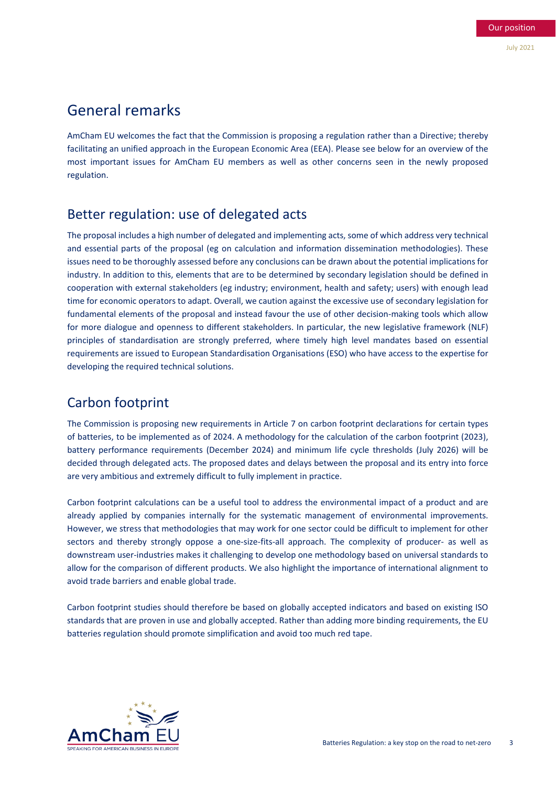# General remarks

AmCham EU welcomes the fact that the Commission is proposing a regulation rather than a Directive; thereby facilitating an unified approach in the European Economic Area (EEA). Please see below for an overview of the most important issues for AmCham EU members as well as other concerns seen in the newly proposed regulation.

# Better regulation: use of delegated acts

The proposal includes a high number of delegated and implementing acts, some of which address very technical and essential parts of the proposal (eg on calculation and information dissemination methodologies). These issues need to be thoroughly assessed before any conclusions can be drawn about the potential implications for industry. In addition to this, elements that are to be determined by secondary legislation should be defined in cooperation with external stakeholders (eg industry; environment, health and safety; users) with enough lead time for economic operators to adapt. Overall, we caution against the excessive use of secondary legislation for fundamental elements of the proposal and instead favour the use of other decision-making tools which allow for more dialogue and openness to different stakeholders. In particular, the new legislative framework (NLF) principles of standardisation are strongly preferred, where timely high level mandates based on essential requirements are issued to European Standardisation Organisations (ESO) who have access to the expertise for developing the required technical solutions.

# Carbon footprint

The Commission is proposing new requirements in Article 7 on carbon footprint declarations for certain types of batteries, to be implemented as of 2024. A methodology for the calculation of the carbon footprint (2023), battery performance requirements (December 2024) and minimum life cycle thresholds (July 2026) will be decided through delegated acts. The proposed dates and delays between the proposal and its entry into force are very ambitious and extremely difficult to fully implement in practice.

Carbon footprint calculations can be a useful tool to address the environmental impact of a product and are already applied by companies internally for the systematic management of environmental improvements. However, we stress that methodologies that may work for one sector could be difficult to implement for other sectors and thereby strongly oppose a one-size-fits-all approach. The complexity of producer- as well as downstream user-industries makes it challenging to develop one methodology based on universal standards to allow for the comparison of different products. We also highlight the importance of international alignment to avoid trade barriers and enable global trade.

Carbon footprint studies should therefore be based on globally accepted indicators and based on existing ISO standards that are proven in use and globally accepted. Rather than adding more binding requirements, the EU batteries regulation should promote simplification and avoid too much red tape.

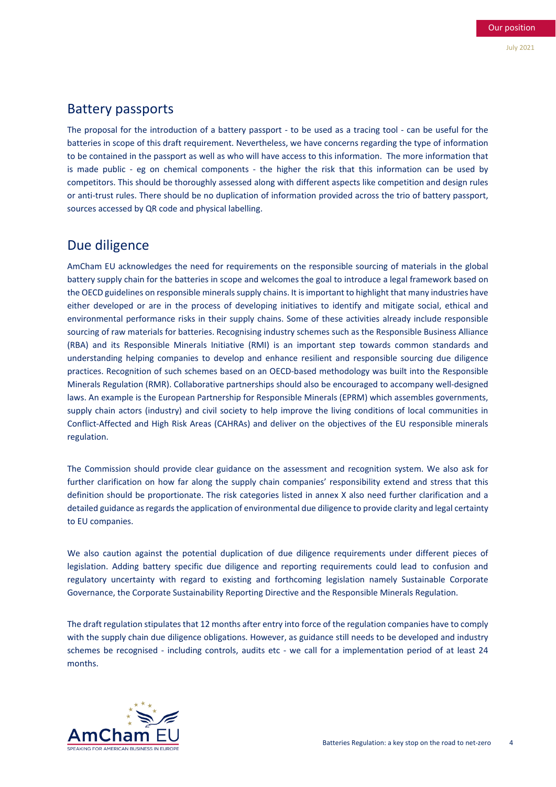#### Battery passports

The proposal for the introduction of a battery passport - to be used as a tracing tool - can be useful for the batteries in scope of this draft requirement. Nevertheless, we have concerns regarding the type of information to be contained in the passport as well as who will have access to this information. The more information that is made public - eg on chemical components - the higher the risk that this information can be used by competitors. This should be thoroughly assessed along with different aspects like competition and design rules or anti-trust rules. There should be no duplication of information provided across the trio of battery passport, sources accessed by QR code and physical labelling.

# Due diligence

AmCham EU acknowledges the need for requirements on the responsible sourcing of materials in the global battery supply chain for the batteries in scope and welcomes the goal to introduce a legal framework based on the OECD guidelines on responsible minerals supply chains. It is important to highlight that many industries have either developed or are in the process of developing initiatives to identify and mitigate social, ethical and environmental performance risks in their supply chains. Some of these activities already include responsible sourcing of raw materials for batteries. Recognising industry schemes such as the Responsible Business Alliance (RBA) and its Responsible Minerals Initiative (RMI) is an important step towards common standards and understanding helping companies to develop and enhance resilient and responsible sourcing due diligence practices. Recognition of such schemes based on an OECD-based methodology was built into the Responsible Minerals Regulation (RMR). Collaborative partnerships should also be encouraged to accompany well-designed laws. An example is the European Partnership for Responsible Minerals (EPRM) which assembles governments, supply chain actors (industry) and civil society to help improve the living conditions of local communities in Conflict-Affected and High Risk Areas (CAHRAs) and deliver on the objectives of the EU responsible minerals regulation.

The Commission should provide clear guidance on the assessment and recognition system. We also ask for further clarification on how far along the supply chain companies' responsibility extend and stress that this definition should be proportionate. The risk categories listed in annex X also need further clarification and a detailed guidance as regards the application of environmental due diligence to provide clarity and legal certainty to EU companies.

We also caution against the potential duplication of due diligence requirements under different pieces of legislation. Adding battery specific due diligence and reporting requirements could lead to confusion and regulatory uncertainty with regard to existing and forthcoming legislation namely Sustainable Corporate Governance, the Corporate Sustainability Reporting Directive and the Responsible Minerals Regulation.

The draft regulation stipulates that 12 months after entry into force of the regulation companies have to comply with the supply chain due diligence obligations. However, as guidance still needs to be developed and industry schemes be recognised - including controls, audits etc - we call for a implementation period of at least 24 months.

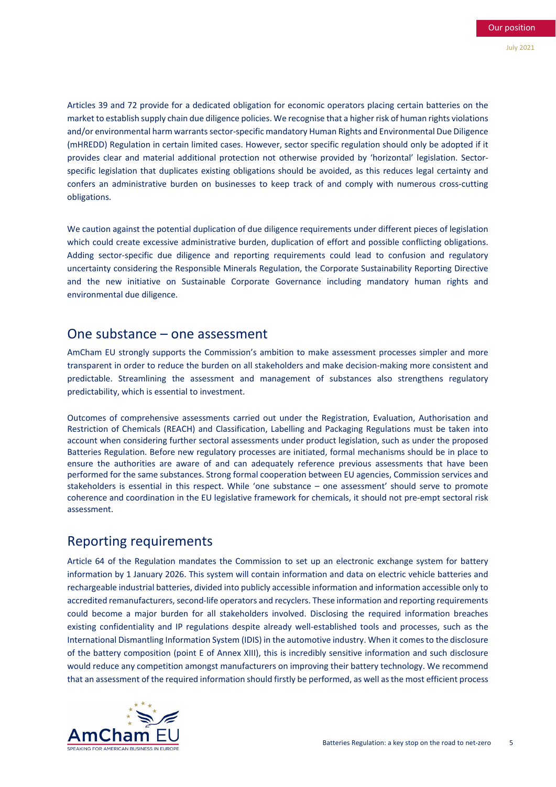Articles 39 and 72 provide for a dedicated obligation for economic operators placing certain batteries on the market to establish supply chain due diligence policies. We recognise that a higher risk of human rights violations and/or environmental harm warrants sector-specific mandatory Human Rights and Environmental Due Diligence (mHREDD) Regulation in certain limited cases. However, sector specific regulation should only be adopted if it provides clear and material additional protection not otherwise provided by 'horizontal' legislation. Sectorspecific legislation that duplicates existing obligations should be avoided, as this reduces legal certainty and confers an administrative burden on businesses to keep track of and comply with numerous cross-cutting obligations.

We caution against the potential duplication of due diligence requirements under different pieces of legislation which could create excessive administrative burden, duplication of effort and possible conflicting obligations. Adding sector-specific due diligence and reporting requirements could lead to confusion and regulatory uncertainty considering the Responsible Minerals Regulation, the Corporate Sustainability Reporting Directive and the new initiative on Sustainable Corporate Governance including mandatory human rights and environmental due diligence.

#### One substance – one assessment

AmCham EU strongly supports the Commission's ambition to make assessment processes simpler and more transparent in order to reduce the burden on all stakeholders and make decision-making more consistent and predictable. Streamlining the assessment and management of substances also strengthens regulatory predictability, which is essential to investment.

Outcomes of comprehensive assessments carried out under the Registration, Evaluation, Authorisation and Restriction of Chemicals (REACH) and Classification, Labelling and Packaging Regulations must be taken into account when considering further sectoral assessments under product legislation, such as under the proposed Batteries Regulation. Before new regulatory processes are initiated, formal mechanisms should be in place to ensure the authorities are aware of and can adequately reference previous assessments that have been performed for the same substances. Strong formal cooperation between EU agencies, Commission services and stakeholders is essential in this respect. While 'one substance – one assessment' should serve to promote coherence and coordination in the EU legislative framework for chemicals, it should not pre-empt sectoral risk assessment.

#### Reporting requirements

Article 64 of the Regulation mandates the Commission to set up an electronic exchange system for battery information by 1 January 2026. This system will contain information and data on electric vehicle batteries and rechargeable industrial batteries, divided into publicly accessible information and information accessible only to accredited remanufacturers, second-life operators and recyclers. These information and reporting requirements could become a major burden for all stakeholders involved. Disclosing the required information breaches existing confidentiality and IP regulations despite already well-established tools and processes, such as the International Dismantling Information System (IDIS) in the automotive industry. When it comes to the disclosure of the battery composition (point E of Annex XIII), this is incredibly sensitive information and such disclosure would reduce any competition amongst manufacturers on improving their battery technology. We recommend that an assessment of the required information should firstly be performed, as well as the most efficient process

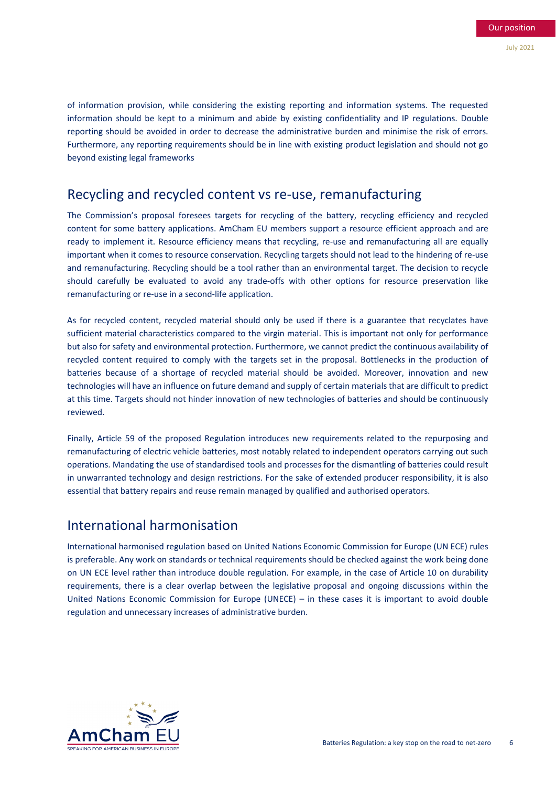of information provision, while considering the existing reporting and information systems. The requested information should be kept to a minimum and abide by existing confidentiality and IP regulations. Double reporting should be avoided in order to decrease the administrative burden and minimise the risk of errors. Furthermore, any reporting requirements should be in line with existing product legislation and should not go beyond existing legal frameworks

#### Recycling and recycled content vs re-use, remanufacturing

The Commission's proposal foresees targets for recycling of the battery, recycling efficiency and recycled content for some battery applications. AmCham EU members support a resource efficient approach and are ready to implement it. Resource efficiency means that recycling, re-use and remanufacturing all are equally important when it comes to resource conservation. Recycling targets should not lead to the hindering of re-use and remanufacturing. Recycling should be a tool rather than an environmental target. The decision to recycle should carefully be evaluated to avoid any trade-offs with other options for resource preservation like remanufacturing or re-use in a second-life application.

As for recycled content, recycled material should only be used if there is a guarantee that recyclates have sufficient material characteristics compared to the virgin material. This is important not only for performance but also for safety and environmental protection. Furthermore, we cannot predict the continuous availability of recycled content required to comply with the targets set in the proposal. Bottlenecks in the production of batteries because of a shortage of recycled material should be avoided. Moreover, innovation and new technologies will have an influence on future demand and supply of certain materials that are difficult to predict at this time. Targets should not hinder innovation of new technologies of batteries and should be continuously reviewed.

Finally, Article 59 of the proposed Regulation introduces new requirements related to the repurposing and remanufacturing of electric vehicle batteries, most notably related to independent operators carrying out such operations. Mandating the use of standardised tools and processes for the dismantling of batteries could result in unwarranted technology and design restrictions. For the sake of extended producer responsibility, it is also essential that battery repairs and reuse remain managed by qualified and authorised operators.

#### International harmonisation

International harmonised regulation based on United Nations Economic Commission for Europe (UN ECE) rules is preferable. Any work on standards or technical requirements should be checked against the work being done on UN ECE level rather than introduce double regulation. For example, in the case of Article 10 on durability requirements, there is a clear overlap between the legislative proposal and ongoing discussions within the United Nations Economic Commission for Europe (UNECE) – in these cases it is important to avoid double regulation and unnecessary increases of administrative burden.

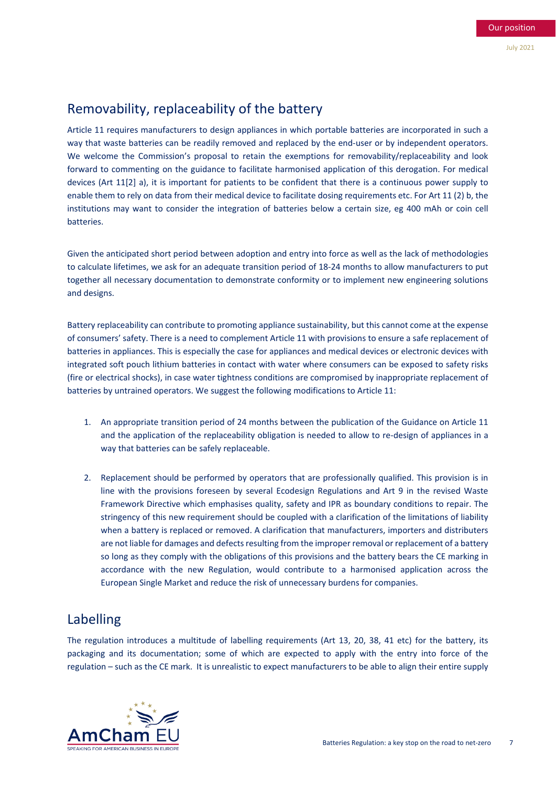# Removability, replaceability of the battery

Article 11 requires manufacturers to design appliances in which portable batteries are incorporated in such a way that waste batteries can be readily removed and replaced by the end-user or by independent operators. We welcome the Commission's proposal to retain the exemptions for removability/replaceability and look forward to commenting on the guidance to facilitate harmonised application of this derogation. For medical devices (Art 11[2] a), it is important for patients to be confident that there is a continuous power supply to enable them to rely on data from their medical device to facilitate dosing requirements etc. For Art 11 (2) b, the institutions may want to consider the integration of batteries below a certain size, eg 400 mAh or coin cell batteries.

Given the anticipated short period between adoption and entry into force as well as the lack of methodologies to calculate lifetimes, we ask for an adequate transition period of 18-24 months to allow manufacturers to put together all necessary documentation to demonstrate conformity or to implement new engineering solutions and designs.

Battery replaceability can contribute to promoting appliance sustainability, but this cannot come at the expense of consumers' safety. There is a need to complement Article 11 with provisions to ensure a safe replacement of batteries in appliances. This is especially the case for appliances and medical devices or electronic devices with integrated soft pouch lithium batteries in contact with water where consumers can be exposed to safety risks (fire or electrical shocks), in case water tightness conditions are compromised by inappropriate replacement of batteries by untrained operators. We suggest the following modifications to Article 11:

- 1. An appropriate transition period of 24 months between the publication of the Guidance on Article 11 and the application of the replaceability obligation is needed to allow to re-design of appliances in a way that batteries can be safely replaceable.
- 2. Replacement should be performed by operators that are professionally qualified. This provision is in line with the provisions foreseen by several Ecodesign Regulations and Art 9 in the revised Waste Framework Directive which emphasises quality, safety and IPR as boundary conditions to repair. The stringency of this new requirement should be coupled with a clarification of the limitations of liability when a battery is replaced or removed. A clarification that manufacturers, importers and distributers are not liable for damages and defects resulting from the improper removal or replacement of a battery so long as they comply with the obligations of this provisions and the battery bears the CE marking in accordance with the new Regulation, would contribute to a harmonised application across the European Single Market and reduce the risk of unnecessary burdens for companies.

# Labelling

The regulation introduces a multitude of labelling requirements (Art 13, 20, 38, 41 etc) for the battery, its packaging and its documentation; some of which are expected to apply with the entry into force of the regulation – such as the CE mark. It is unrealistic to expect manufacturers to be able to align their entire supply

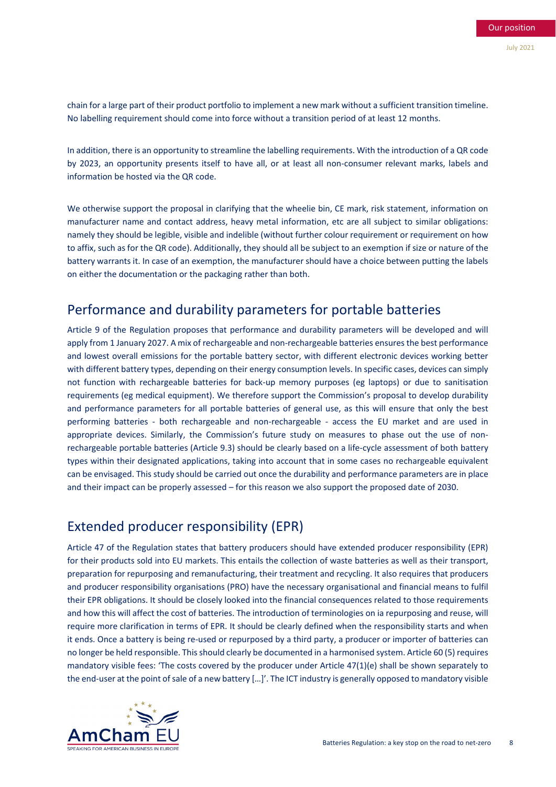chain for a large part of their product portfolio to implement a new mark without a sufficient transition timeline. No labelling requirement should come into force without a transition period of at least 12 months.

In addition, there is an opportunity to streamline the labelling requirements. With the introduction of a QR code by 2023, an opportunity presents itself to have all, or at least all non-consumer relevant marks, labels and information be hosted via the QR code.

We otherwise support the proposal in clarifying that the wheelie bin, CE mark, risk statement, information on manufacturer name and contact address, heavy metal information, etc are all subject to similar obligations: namely they should be legible, visible and indelible (without further colour requirement or requirement on how to affix, such as for the QR code). Additionally, they should all be subject to an exemption if size or nature of the battery warrants it. In case of an exemption, the manufacturer should have a choice between putting the labels on either the documentation or the packaging rather than both.

#### Performance and durability parameters for portable batteries

Article 9 of the Regulation proposes that performance and durability parameters will be developed and will apply from 1 January 2027. A mix of rechargeable and non-rechargeable batteries ensures the best performance and lowest overall emissions for the portable battery sector, with different electronic devices working better with different battery types, depending on their energy consumption levels. In specific cases, devices can simply not function with rechargeable batteries for back-up memory purposes (eg laptops) or due to sanitisation requirements (eg medical equipment). We therefore support the Commission's proposal to develop durability and performance parameters for all portable batteries of general use, as this will ensure that only the best performing batteries - both rechargeable and non-rechargeable - access the EU market and are used in appropriate devices. Similarly, the Commission's future study on measures to phase out the use of nonrechargeable portable batteries (Article 9.3) should be clearly based on a life-cycle assessment of both battery types within their designated applications, taking into account that in some cases no rechargeable equivalent can be envisaged. This study should be carried out once the durability and performance parameters are in place and their impact can be properly assessed – for this reason we also support the proposed date of 2030.

# Extended producer responsibility (EPR)

Article 47 of the Regulation states that battery producers should have extended producer responsibility (EPR) for their products sold into EU markets. This entails the collection of waste batteries as well as their transport, preparation for repurposing and remanufacturing, their treatment and recycling. It also requires that producers and producer responsibility organisations (PRO) have the necessary organisational and financial means to fulfil their EPR obligations. It should be closely looked into the financial consequences related to those requirements and how this will affect the cost of batteries. The introduction of terminologies on ia repurposing and reuse, will require more clarification in terms of EPR. It should be clearly defined when the responsibility starts and when it ends. Once a battery is being re-used or repurposed by a third party, a producer or importer of batteries can no longer be held responsible. This should clearly be documented in a harmonised system. Article 60 (5) requires mandatory visible fees: 'The costs covered by the producer under Article 47(1)(e) shall be shown separately to the end-user at the point of sale of a new battery […]'. The ICT industry is generally opposed to mandatory visible

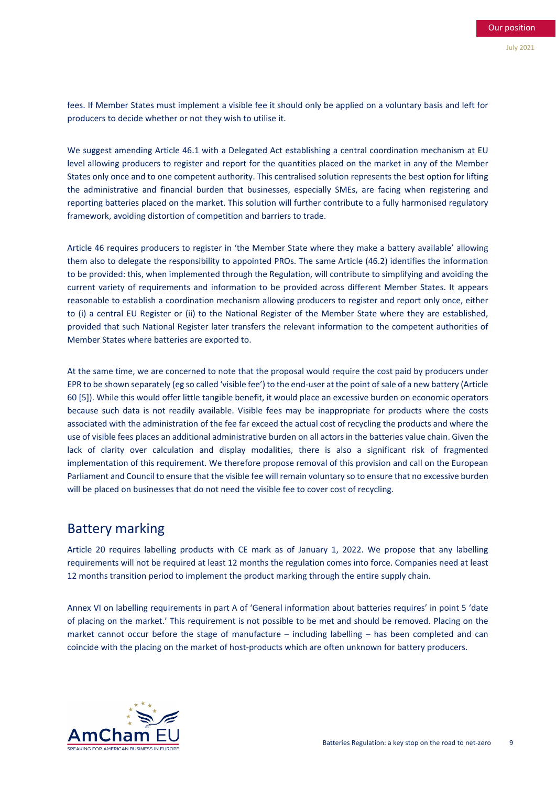fees. If Member States must implement a visible fee it should only be applied on a voluntary basis and left for producers to decide whether or not they wish to utilise it.

We suggest amending Article 46.1 with a Delegated Act establishing a central coordination mechanism at EU level allowing producers to register and report for the quantities placed on the market in any of the Member States only once and to one competent authority. This centralised solution represents the best option for lifting the administrative and financial burden that businesses, especially SMEs, are facing when registering and reporting batteries placed on the market. This solution will further contribute to a fully harmonised regulatory framework, avoiding distortion of competition and barriers to trade.

Article 46 requires producers to register in 'the Member State where they make a battery available' allowing them also to delegate the responsibility to appointed PROs. The same Article (46.2) identifies the information to be provided: this, when implemented through the Regulation, will contribute to simplifying and avoiding the current variety of requirements and information to be provided across different Member States. It appears reasonable to establish a coordination mechanism allowing producers to register and report only once, either to (i) a central EU Register or (ii) to the National Register of the Member State where they are established, provided that such National Register later transfers the relevant information to the competent authorities of Member States where batteries are exported to.

At the same time, we are concerned to note that the proposal would require the cost paid by producers under EPR to be shown separately (eg so called 'visible fee') to the end-user at the point of sale of a new battery (Article 60 [5]). While this would offer little tangible benefit, it would place an excessive burden on economic operators because such data is not readily available. Visible fees may be inappropriate for products where the costs associated with the administration of the fee far exceed the actual cost of recycling the products and where the use of visible fees places an additional administrative burden on all actors in the batteries value chain. Given the lack of clarity over calculation and display modalities, there is also a significant risk of fragmented implementation of this requirement. We therefore propose removal of this provision and call on the European Parliament and Council to ensure that the visible fee will remain voluntary so to ensure that no excessive burden will be placed on businesses that do not need the visible fee to cover cost of recycling.

#### Battery marking

Article 20 requires labelling products with CE mark as of January 1, 2022. We propose that any labelling requirements will not be required at least 12 months the regulation comes into force. Companies need at least 12 months transition period to implement the product marking through the entire supply chain.

Annex VI on labelling requirements in part A of 'General information about batteries requires' in point 5 'date of placing on the market.' This requirement is not possible to be met and should be removed. Placing on the market cannot occur before the stage of manufacture – including labelling – has been completed and can coincide with the placing on the market of host-products which are often unknown for battery producers.

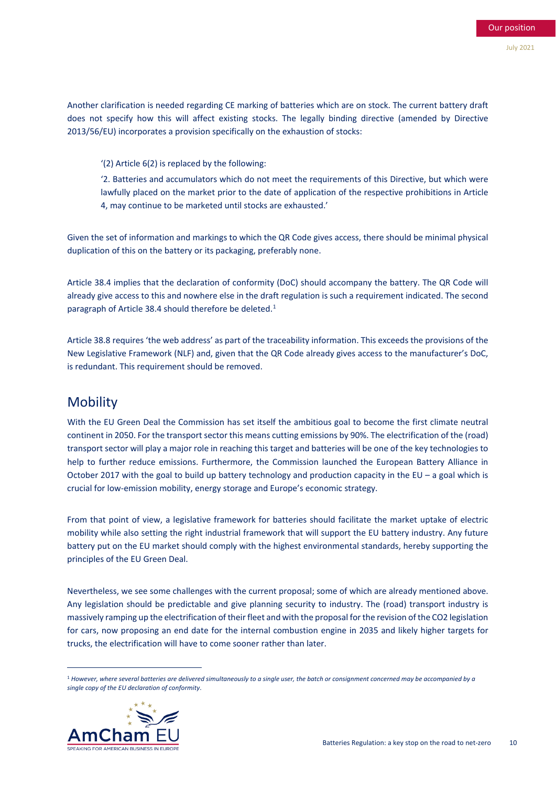Another clarification is needed regarding CE marking of batteries which are on stock. The current battery draft does not specify how this will affect existing stocks. The legally binding directive (amended by Directive 2013/56/EU) incorporates a provision specifically on the exhaustion of stocks:

'(2) Article 6(2) is replaced by the following:

'2. Batteries and accumulators which do not meet the requirements of this Directive, but which were lawfully placed on the market prior to the date of application of the respective prohibitions in Article 4, may continue to be marketed until stocks are exhausted.'

Given the set of information and markings to which the QR Code gives access, there should be minimal physical duplication of this on the battery or its packaging, preferably none.

Article 38.4 implies that the declaration of conformity (DoC) should accompany the battery. The QR Code will already give access to this and nowhere else in the draft regulation is such a requirement indicated. The second paragraph of Article 38.4 should therefore be deleted.<sup>1</sup>

Article 38.8 requires 'the web address' as part of the traceability information. This exceeds the provisions of the New Legislative Framework (NLF) and, given that the QR Code already gives access to the manufacturer's DoC, is redundant. This requirement should be removed.

#### **Mobility**

With the EU Green Deal the Commission has set itself the ambitious goal to become the first climate neutral continent in 2050. For the transport sector this means cutting emissions by 90%. The electrification of the (road) transport sector will play a major role in reaching this target and batteries will be one of the key technologies to help to further reduce emissions. Furthermore, the Commission launched the European Battery Alliance in October 2017 with the goal to build up battery technology and production capacity in the EU – a goal which is crucial for low-emission mobility, energy storage and Europe's economic strategy.

From that point of view, a legislative framework for batteries should facilitate the market uptake of electric mobility while also setting the right industrial framework that will support the EU battery industry. Any future battery put on the EU market should comply with the highest environmental standards, hereby supporting the principles of the EU Green Deal.

Nevertheless, we see some challenges with the current proposal; some of which are already mentioned above. Any legislation should be predictable and give planning security to industry. The (road) transport industry is massively ramping up the electrification of their fleet and with the proposal for the revision of the CO2 legislation for cars, now proposing an end date for the internal combustion engine in 2035 and likely higher targets for trucks, the electrification will have to come sooner rather than later.

<span id="page-9-0"></span><sup>1</sup> *However, where several batteries are delivered simultaneously to a single user, the batch or consignment concerned may be accompanied by a single copy of the EU declaration of conformity*.



1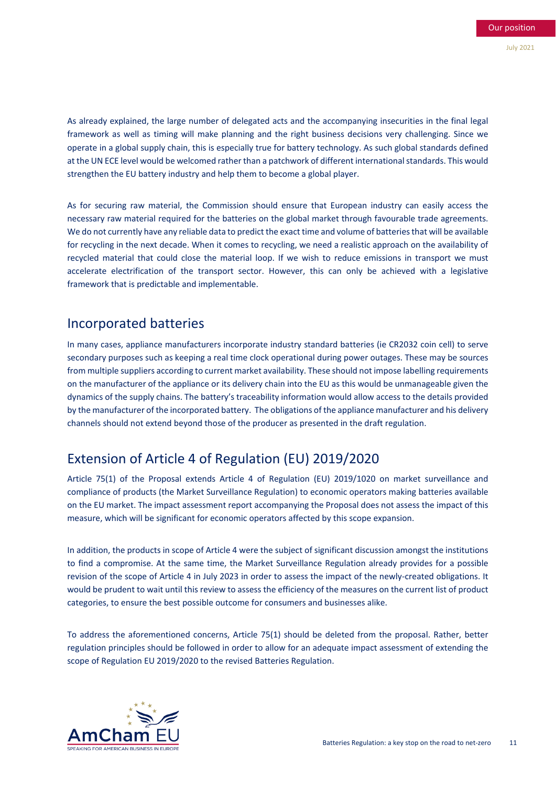As already explained, the large number of delegated acts and the accompanying insecurities in the final legal framework as well as timing will make planning and the right business decisions very challenging. Since we operate in a global supply chain, this is especially true for battery technology. As such global standards defined at the UN ECE level would be welcomed rather than a patchwork of different international standards. This would strengthen the EU battery industry and help them to become a global player.

As for securing raw material, the Commission should ensure that European industry can easily access the necessary raw material required for the batteries on the global market through favourable trade agreements. We do not currently have any reliable data to predict the exact time and volume of batteries that will be available for recycling in the next decade. When it comes to recycling, we need a realistic approach on the availability of recycled material that could close the material loop. If we wish to reduce emissions in transport we must accelerate electrification of the transport sector. However, this can only be achieved with a legislative framework that is predictable and implementable.

### Incorporated batteries

In many cases, appliance manufacturers incorporate industry standard batteries (ie CR2032 coin cell) to serve secondary purposes such as keeping a real time clock operational during power outages. These may be sources from multiple suppliers according to current market availability. These should not impose labelling requirements on the manufacturer of the appliance or its delivery chain into the EU as this would be unmanageable given the dynamics of the supply chains. The battery's traceability information would allow access to the details provided by the manufacturer of the incorporated battery. The obligations of the appliance manufacturer and his delivery channels should not extend beyond those of the producer as presented in the draft regulation.

# Extension of Article 4 of Regulation (EU) 2019/2020

Article 75(1) of the Proposal extends Article 4 of Regulation (EU) 2019/1020 on market surveillance and compliance of products (the Market Surveillance Regulation) to economic operators making batteries available on the EU market. The impact assessment report accompanying the Proposal does not assess the impact of this measure, which will be significant for economic operators affected by this scope expansion.

In addition, the products in scope of Article 4 were the subject of significant discussion amongst the institutions to find a compromise. At the same time, the Market Surveillance Regulation already provides for a possible revision of the scope of Article 4 in July 2023 in order to assess the impact of the newly-created obligations. It would be prudent to wait until this review to assess the efficiency of the measures on the current list of product categories, to ensure the best possible outcome for consumers and businesses alike.

To address the aforementioned concerns, Article 75(1) should be deleted from the proposal. Rather, better regulation principles should be followed in order to allow for an adequate impact assessment of extending the scope of Regulation EU 2019/2020 to the revised Batteries Regulation.